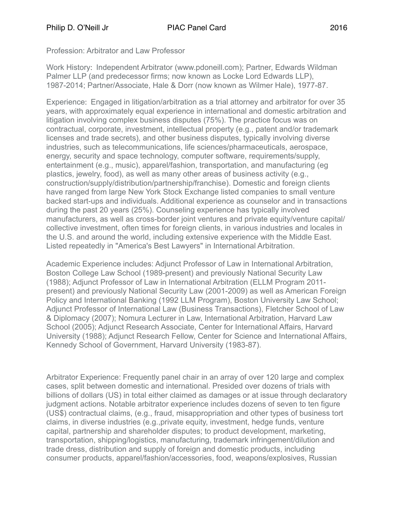Profession: Arbitrator and Law Professor

Work History: Independent Arbitrator (www.pdoneill.com); Partner, Edwards Wildman Palmer LLP (and predecessor firms; now known as Locke Lord Edwards LLP), 1987-2014; Partner/Associate, Hale & Dorr (now known as Wilmer Hale), 1977-87.

Experience: Engaged in litigation/arbitration as a trial attorney and arbitrator for over 35 years, with approximately equal experience in international and domestic arbitration and litigation involving complex business disputes (75%). The practice focus was on contractual, corporate, investment, intellectual property (e.g., patent and/or trademark licenses and trade secrets), and other business disputes, typically involving diverse industries, such as telecommunications, life sciences/pharmaceuticals, aerospace, energy, security and space technology, computer software, requirements/supply, entertainment (e.g., music), apparel/fashion, transportation, and manufacturing (eg plastics, jewelry, food), as well as many other areas of business activity (e.g., construction/supply/distribution/partnership/franchise). Domestic and foreign clients have ranged from large New York Stock Exchange listed companies to small venture backed start-ups and individuals. Additional experience as counselor and in transactions during the past 20 years (25%). Counseling experience has typically involved manufacturers, as well as cross-border joint ventures and private equity/venture capital/ collective investment, often times for foreign clients, in various industries and locales in the U.S. and around the world, including extensive experience with the Middle East. Listed repeatedly in "America's Best Lawyers" in International Arbitration.

Academic Experience includes: Adjunct Professor of Law in International Arbitration, Boston College Law School (1989-present) and previously National Security Law (1988); Adjunct Professor of Law in International Arbitration (ELLM Program 2011 present) and previously National Security Law (2001-2009) as well as American Foreign Policy and International Banking (1992 LLM Program), Boston University Law School; Adjunct Professor of International Law (Business Transactions), Fletcher School of Law & Diplomacy (2007); Nomura Lecturer in Law, International Arbitration, Harvard Law School (2005); Adjunct Research Associate, Center for International Affairs, Harvard University (1988); Adjunct Research Fellow, Center for Science and International Affairs, Kennedy School of Government, Harvard University (1983-87).

Arbitrator Experience: Frequently panel chair in an array of over 120 large and complex cases, split between domestic and international. Presided over dozens of trials with billions of dollars (US) in total either claimed as damages or at issue through declaratory judgment actions. Notable arbitrator experience includes dozens of seven to ten figure (US\$) contractual claims, (e.g., fraud, misappropriation and other types of business tort claims, in diverse industries (e.g.,private equity, investment, hedge funds, venture capital, partnership and shareholder disputes; to product development, marketing, transportation, shipping/logistics, manufacturing, trademark infringement/dilution and trade dress, distribution and supply of foreign and domestic products, including consumer products, apparel/fashion/accessories, food, weapons/explosives, Russian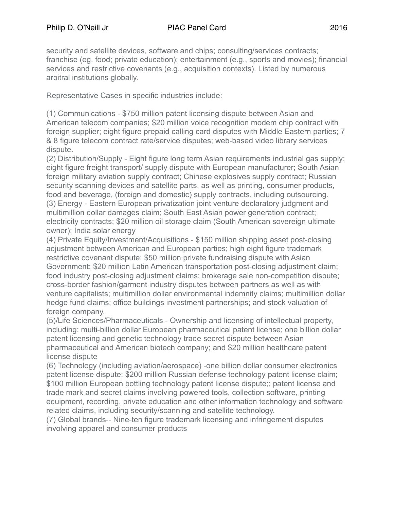security and satellite devices, software and chips; consulting/services contracts; franchise (eg. food; private education); entertainment (e.g., sports and movies); financial services and restrictive covenants (e.g., acquisition contexts). Listed by numerous arbitral institutions globally.

Representative Cases in specific industries include:

(1) Communications - \$750 million patent licensing dispute between Asian and American telecom companies; \$20 million voice recognition modem chip contract with foreign supplier; eight figure prepaid calling card disputes with Middle Eastern parties; 7 & 8 figure telecom contract rate/service disputes; web-based video library services dispute.

(2) Distribution/Supply - Eight figure long term Asian requirements industrial gas supply; eight figure freight transport/ supply dispute with European manufacturer; South Asian foreign military aviation supply contract; Chinese explosives supply contract; Russian security scanning devices and satellite parts, as well as printing, consumer products, food and beverage, (foreign and domestic) supply contracts, including outsourcing. (3) Energy - Eastern European privatization joint venture declaratory judgment and multimillion dollar damages claim; South East Asian power generation contract; electricity contracts; \$20 million oil storage claim (South American sovereign ultimate owner); India solar energy

(4) Private Equity/Investment/Acquisitions - \$150 million shipping asset post-closing adjustment between American and European parties; high eight figure trademark restrictive covenant dispute; \$50 million private fundraising dispute with Asian Government; \$20 million Latin American transportation post-closing adjustment claim; food industry post-closing adjustment claims; brokerage sale non-competition dispute; cross-border fashion/garment industry disputes between partners as well as with venture capitalists; multimillion dollar environmental indemnity claims; multimillion dollar hedge fund claims; office buildings investment partnerships; and stock valuation of foreign company.

(5)/Life Sciences/Pharmaceuticals - Ownership and licensing of intellectual property, including: multi-billion dollar European pharmaceutical patent license; one billion dollar patent licensing and genetic technology trade secret dispute between Asian pharmaceutical and American biotech company; and \$20 million healthcare patent license dispute

(6) Technology (including aviation/aerospace) -one billion dollar consumer electronics patent license dispute; \$200 million Russian defense technology patent license claim; \$100 million European bottling technology patent license dispute;; patent license and trade mark and secret claims involving powered tools, collection software, printing equipment, recording, private education and other information technology and software related claims, including security/scanning and satellite technology.

(7) Global brands-- Nine-ten figure trademark licensing and infringement disputes involving apparel and consumer products